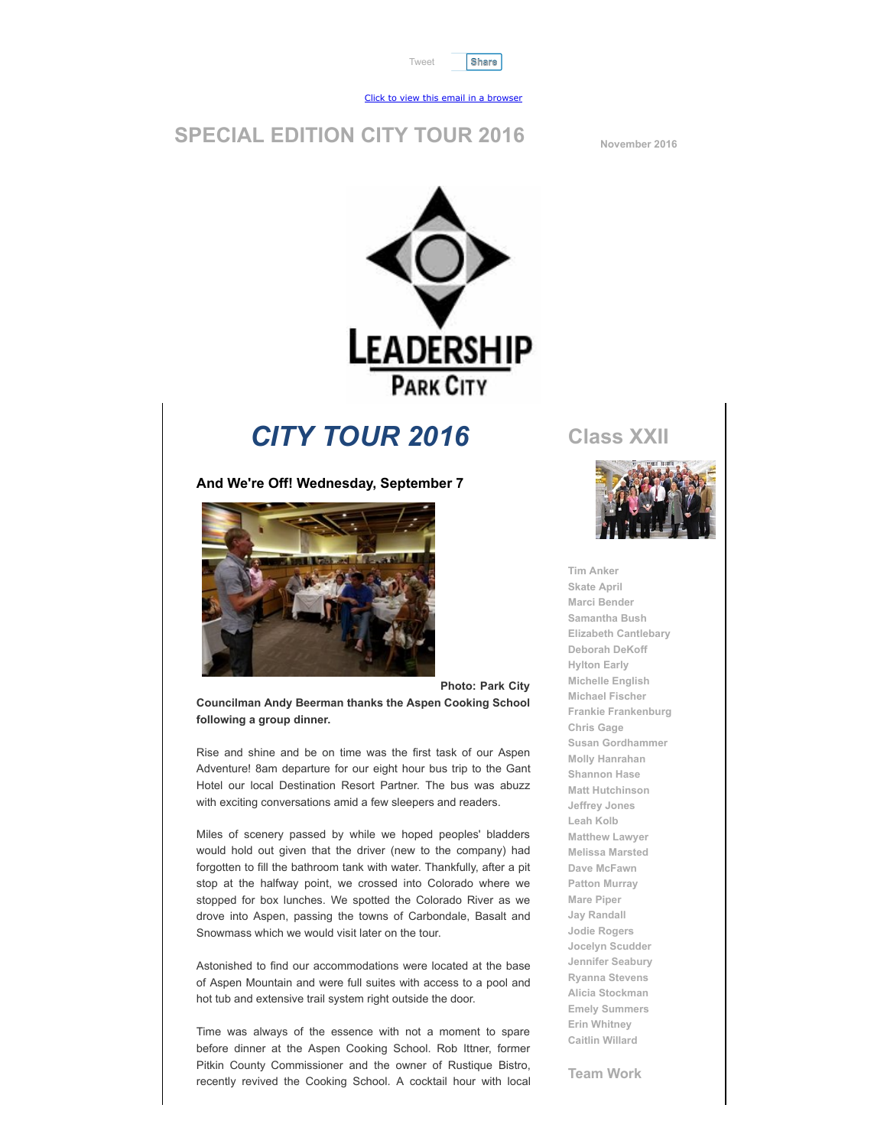



#### [Click to view this email in a browser](http://hosted.verticalresponse.com/1267529/501323767e/TEST/TEST/)

#### **SPECIAL EDITION CITY TOUR 2016 November 2016**



# *CITY TOUR 2016*

**And We're Off! Wednesday, September 7**



**Photo: Park City**

**Councilman Andy Beerman thanks the Aspen Cooking School following a group dinner.**

Rise and shine and be on time was the first task of our Aspen Adventure! 8am departure for our eight hour bus trip to the Gant Hotel our local Destination Resort Partner. The bus was abuzz with exciting conversations amid a few sleepers and readers.

Miles of scenery passed by while we hoped peoples' bladders would hold out given that the driver (new to the company) had forgotten to fill the bathroom tank with water. Thankfully, after a pit stop at the halfway point, we crossed into Colorado where we stopped for box lunches. We spotted the Colorado River as we drove into Aspen, passing the towns of Carbondale, Basalt and Snowmass which we would visit later on the tour.

Astonished to find our accommodations were located at the base of Aspen Mountain and were full suites with access to a pool and hot tub and extensive trail system right outside the door.

Time was always of the essence with not a moment to spare before dinner at the Aspen Cooking School. Rob Ittner, former Pitkin County Commissioner and the owner of Rustique Bistro, recently revived the Cooking School. A cocktail hour with local **Class XXII**



**Tim Anker Skate April Marci Bender Samantha Bush Elizabeth Cantlebary Deborah DeKoff Hylton Early Michelle English Michael Fischer Frankie Frankenburg Chris Gage Susan Gordhammer Molly Hanrahan Shannon Hase Matt Hutchinson Jeffrey Jones Leah Kolb Matthew Lawyer Melissa Marsted Dave McFawn Patton Murray Mare Piper Jay Randall Jodie Rogers Jocelyn Scudder Jennifer Seabury Ryanna Stevens Alicia Stockman Emely Summers Erin Whitney Caitlin Willard**

**Team Work**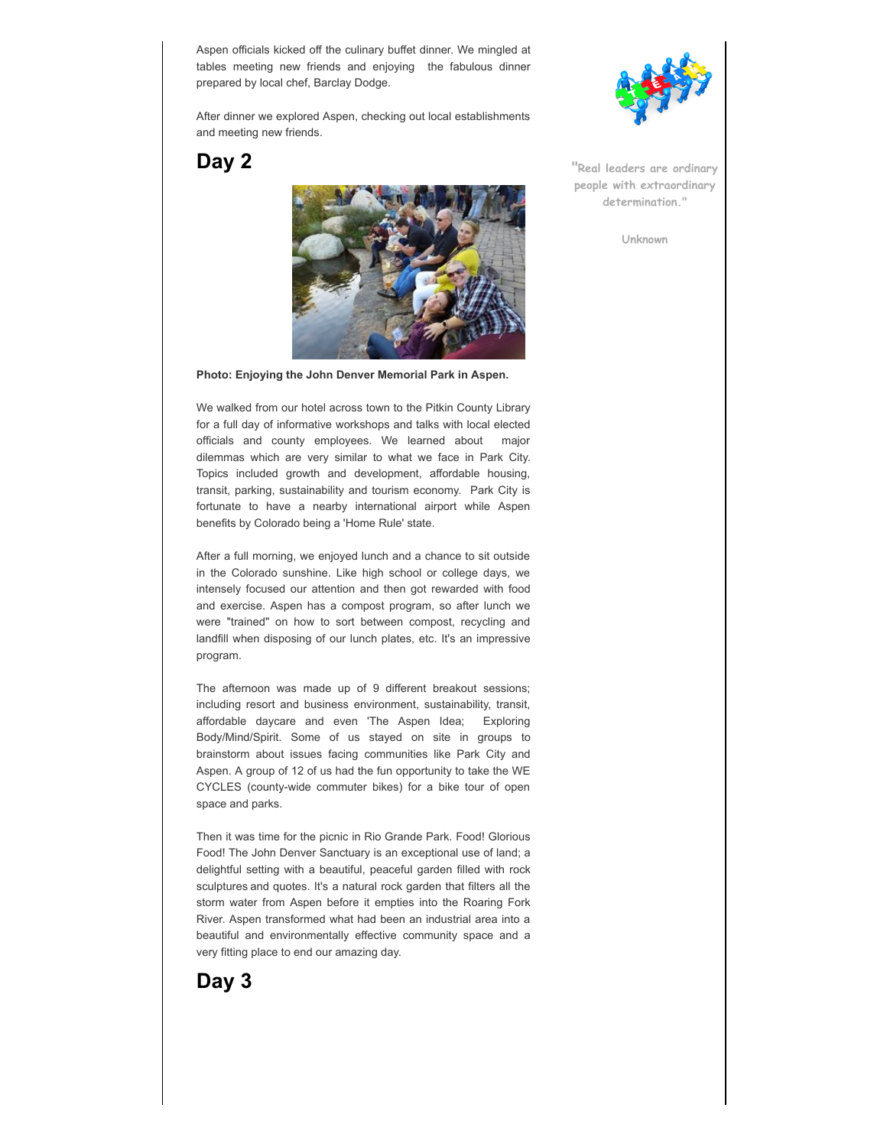Aspen officials kicked off the culinary buffet dinner. We mingled at tables meeting new friends and enjoying the fabulous dinner prepared by local chef, Barclay Dodge.

After dinner we explored Aspen, checking out local establishments and meeting new friends.

**Day 2**



**Photo: Enjoying the John Denver Memorial Park in Aspen.**

We walked from our hotel across town to the Pitkin County Library for a full day of informative workshops and talks with local elected officials and county employees. We learned about major dilemmas which are very similar to what we face in Park City. Topics included growth and development, affordable housing, transit, parking, sustainability and tourism economy. Park City is fortunate to have a nearby international airport while Aspen benefits by Colorado being a 'Home Rule' state.

After a full morning, we enjoyed lunch and a chance to sit outside in the Colorado sunshine. Like high school or college days, we intensely focused our attention and then got rewarded with food and exercise. Aspen has a compost program, so after lunch we were "trained" on how to sort between compost, recycling and landfill when disposing of our lunch plates, etc. It's an impressive program.

The afternoon was made up of 9 different breakout sessions; including resort and business environment, sustainability, transit, affordable daycare and even 'The Aspen Idea; Exploring Body/Mind/Spirit. Some of us stayed on site in groups to brainstorm about issues facing communities like Park City and Aspen. A group of 12 of us had the fun opportunity to take the WE CYCLES (county-wide commuter bikes) for a bike tour of open space and parks.

Then it was time for the picnic in Rio Grande Park. Food! Glorious Food! The John Denver Sanctuary is an exceptional use of land; a delightful setting with a beautiful, peaceful garden filled with rock sculptures and quotes. It's a natural rock garden that filters all the storm water from Aspen before it empties into the Roaring Fork River. Aspen transformed what had been an industrial area into a beautiful and environmentally effective community space and a very fitting place to end our amazing day.



**"Real leaders are ordinary people with extraordinary determination."**

**Unknown**

**Day 3**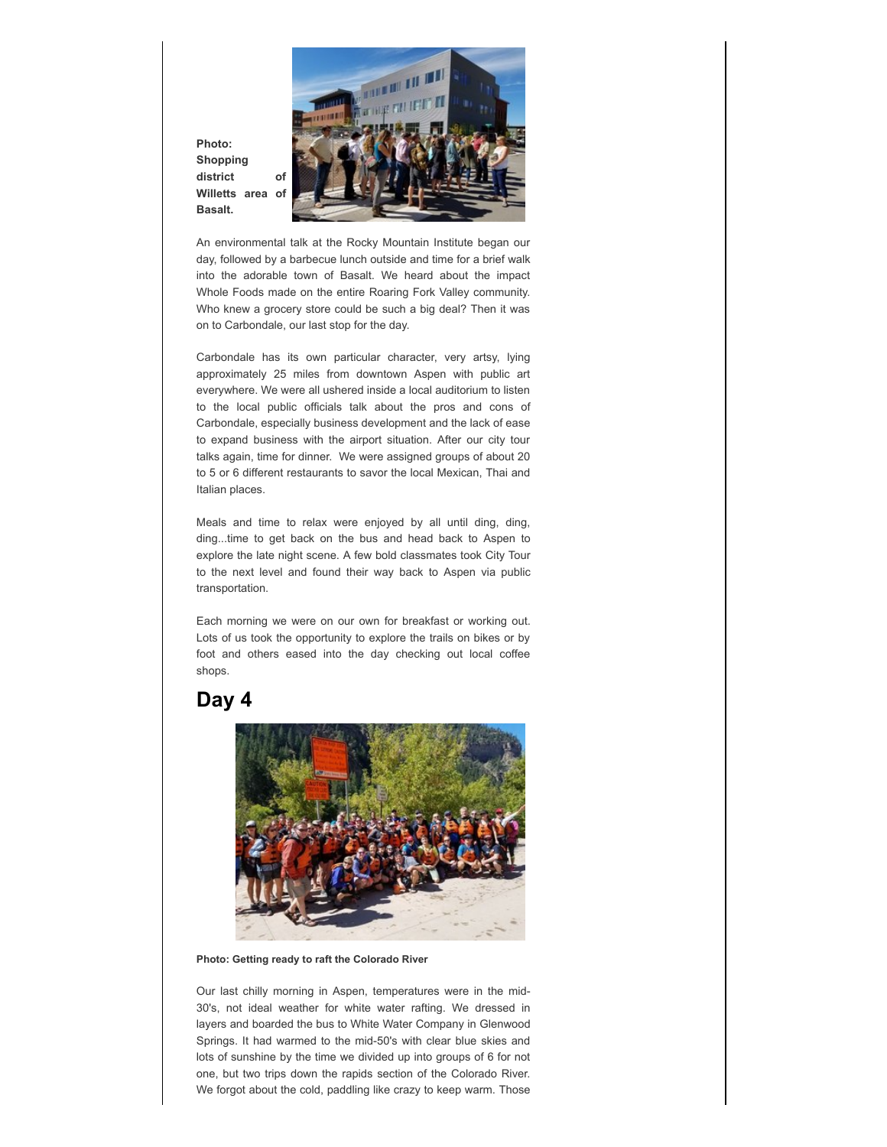

**Photo: Shopping district of Willetts area of Basalt.**

An environmental talk at the Rocky Mountain Institute began our day, followed by a barbecue lunch outside and time for a brief walk into the adorable town of Basalt. We heard about the impact Whole Foods made on the entire Roaring Fork Valley community. Who knew a grocery store could be such a big deal? Then it was on to Carbondale, our last stop for the day.

Carbondale has its own particular character, very artsy, lying approximately 25 miles from downtown Aspen with public art everywhere. We were all ushered inside a local auditorium to listen to the local public officials talk about the pros and cons of Carbondale, especially business development and the lack of ease to expand business with the airport situation. After our city tour talks again, time for dinner. We were assigned groups of about 20 to 5 or 6 different restaurants to savor the local Mexican, Thai and Italian places.

Meals and time to relax were enjoyed by all until ding, ding, ding...time to get back on the bus and head back to Aspen to explore the late night scene. A few bold classmates took City Tour to the next level and found their way back to Aspen via public transportation.

Each morning we were on our own for breakfast or working out. Lots of us took the opportunity to explore the trails on bikes or by foot and others eased into the day checking out local coffee shops.

#### **Day 4**



**Photo: Getting ready to raft the Colorado River**

Our last chilly morning in Aspen, temperatures were in the mid-30's, not ideal weather for white water rafting. We dressed in layers and boarded the bus to White Water Company in Glenwood Springs. It had warmed to the mid-50's with clear blue skies and lots of sunshine by the time we divided up into groups of 6 for not one, but two trips down the rapids section of the Colorado River. We forgot about the cold, paddling like crazy to keep warm. Those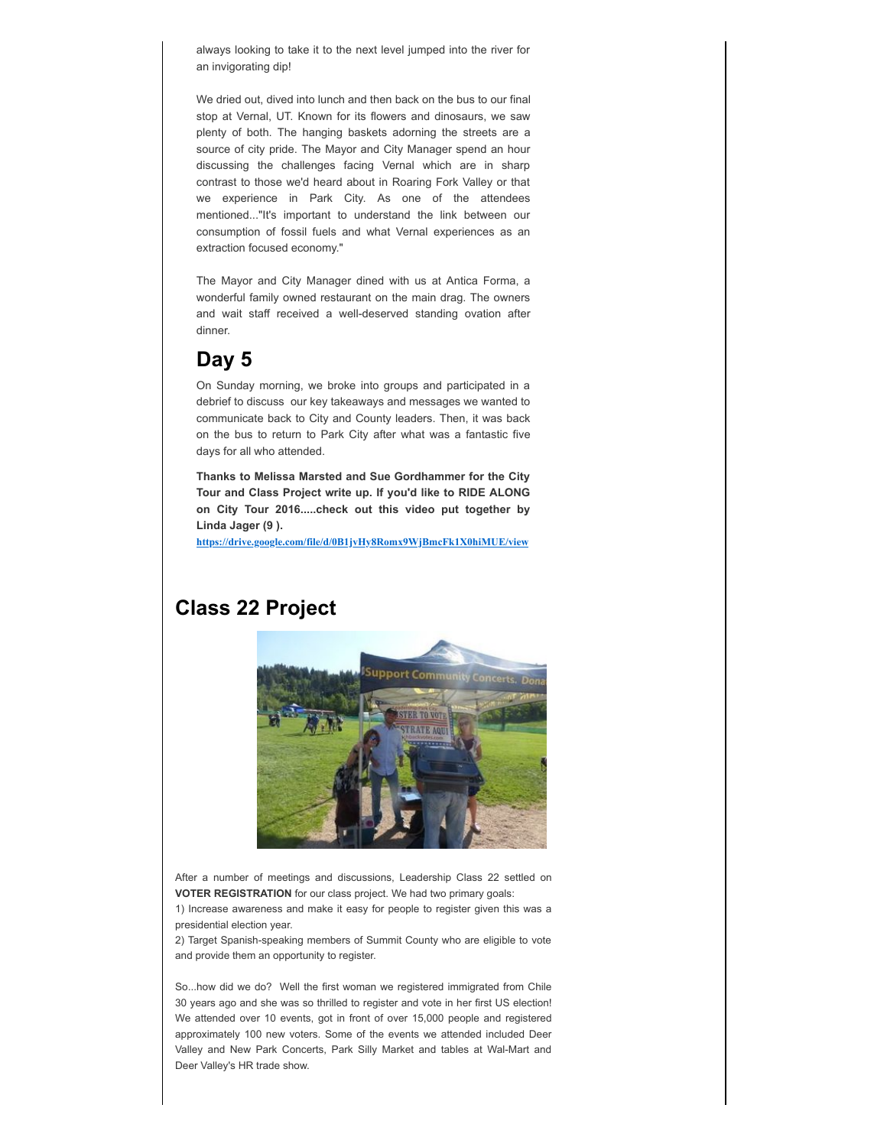always looking to take it to the next level jumped into the river for an invigorating dip!

We dried out, dived into lunch and then back on the bus to our final stop at Vernal, UT. Known for its flowers and dinosaurs, we saw plenty of both. The hanging baskets adorning the streets are a source of city pride. The Mayor and City Manager spend an hour discussing the challenges facing Vernal which are in sharp contrast to those we'd heard about in Roaring Fork Valley or that we experience in Park City. As one of the attendees mentioned..."It's important to understand the link between our consumption of fossil fuels and what Vernal experiences as an extraction focused economy."

The Mayor and City Manager dined with us at Antica Forma, a wonderful family owned restaurant on the main drag. The owners and wait staff received a well-deserved standing ovation after dinner.

### **Day 5**

On Sunday morning, we broke into groups and participated in a debrief to discuss our key takeaways and messages we wanted to communicate back to City and County leaders. Then, it was back on the bus to return to Park City after what was a fantastic five days for all who attended.

**Thanks to Melissa Marsted and Sue Gordhammer for the City Tour and Class Project write up. If you'd like to RIDE ALONG on City Tour 2016.....check out this video put together by Linda Jager (9 ).**

**[https://drive.google.com/file/d/0B1jvHy8Romx9WjBmcFk1X0hiMUE/view](http://cts.vresp.com/c/?LeadershipParkCity/501323767e/1b170226bf/58c5b7d132)**

#### **Class 22 Project**



After a number of meetings and discussions, Leadership Class 22 settled on **VOTER REGISTRATION** for our class project. We had two primary goals:

1) Increase awareness and make it easy for people to register given this was a presidential election year.

2) Target Spanish-speaking members of Summit County who are eligible to vote and provide them an opportunity to register.

So...how did we do? Well the first woman we registered immigrated from Chile 30 years ago and she was so thrilled to register and vote in her first US election! We attended over 10 events, got in front of over 15,000 people and registered approximately 100 new voters. Some of the events we attended included Deer Valley and New Park Concerts, Park Silly Market and tables at Wal-Mart and Deer Valley's HR trade show.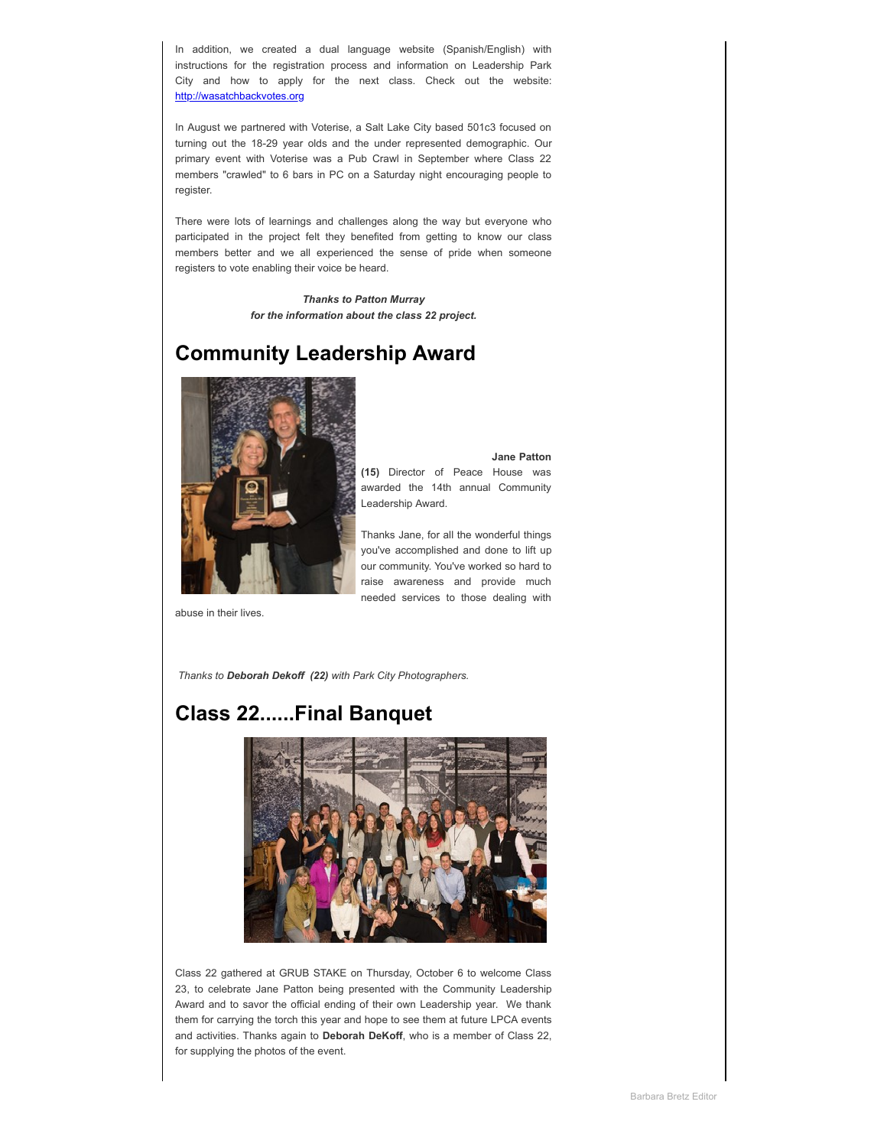In addition, we created a dual language website (Spanish/English) with instructions for the registration process and information on Leadership Park City and how to apply for the next class. Check out the website: [http://wasatchbackvotes.org](http://cts.vresp.com/c/?LeadershipParkCity/501323767e/1b170226bf/de7195960d)

In August we partnered with Voterise, a Salt Lake City based 501c3 focused on turning out the 18-29 year olds and the under represented demographic. Our primary event with Voterise was a Pub Crawl in September where Class 22 members "crawled" to 6 bars in PC on a Saturday night encouraging people to register.

There were lots of learnings and challenges along the way but everyone who participated in the project felt they benefited from getting to know our class members better and we all experienced the sense of pride when someone registers to vote enabling their voice be heard.

> *Thanks to Patton Murray for the information about the class 22 project.*

## **Community Leadership Award**



**Jane Patton (15)** Director of Peace House was awarded the 14th annual Community Leadership Award.

Thanks Jane, for all the wonderful things you've accomplished and done to lift up our community. You've worked so hard to raise awareness and provide much needed services to those dealing with

abuse in their lives.

 *Thanks to Deborah Dekoff (22) with Park City Photographers.*

### **Class 22......Final Banquet**



Class 22 gathered at GRUB STAKE on Thursday, October 6 to welcome Class 23, to celebrate Jane Patton being presented with the Community Leadership Award and to savor the official ending of their own Leadership year. We thank them for carrying the torch this year and hope to see them at future LPCA events and activities. Thanks again to **Deborah DeKoff**, who is a member of Class 22, for supplying the photos of the event.